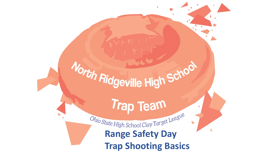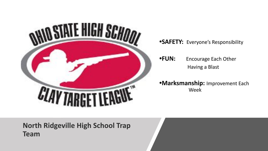

**•SAFETY:** Everyone's Responsibility

**•FUN:** Encourage Each Other Having a Blast

**•Marksmanship:** Improvement Each Week

**North Ridgeville High School Trap Team**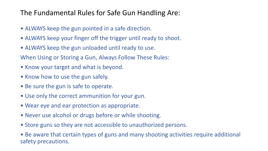#### The Fundamental Rules for Safe Gun Handling Are:

- ALWAYS keep the gun pointed in a safe direction.
- ALWAYS keep your finger off the trigger until ready to shoot.
- ALWAYS keep the gun unloaded until ready to use.

When Using or Storing a Gun, Always Follow These Rules:

- Know your target and what is beyond.
- Know how to use the gun safely.
- Be sure the gun is safe to operate.
- Use only the correct ammunition for your gun.
- Wear eye and ear protection as appropriate.
- Never use alcohol or drugs before or while shooting.
- Store guns so they are not accessible to unauthorized persons.
- Be aware that certain types of guns and many shooting activities require additional safety precautions.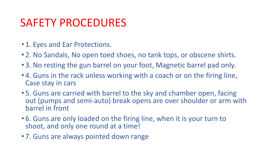## SAFETY PROCEDURES

- 1. Eyes and Ear Protections.
- 2. No Sandals, No open toed shoes, no tank tops, or obscene shirts.
- 3. No resting the gun barrel on your foot, Magnetic barrel pad only.
- 4. Guns in the rack unless working with a coach or on the firing line, Case stay in cars
- 5. Guns are carried with barrel to the sky and chamber open, facing out (pumps and semi-auto) break opens are over shoulder or arm with barrel in front
- 6. Guns are only loaded on the firing line, when it is your turn to shoot, and only one round at a time!
- 7. Guns are always pointed down range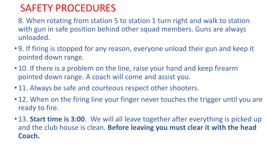#### SAFETY PROCEDURES

8. When rotating from station 5 to station 1 turn right and walk to station with gun in safe position behind other squad members. Guns are always unloaded.

- 9. If firing is stopped for any reason, everyone unload their gun and keep it pointed down range.
- 10. If there is a problem on the line, raise your hand and keep firearm pointed down range. A coach will come and assist you.
- 11. Always be safe and courteous respect other shooters.
- 12. When on the firing line your finger never touches the trigger until you are ready to fire.
- 13. **Start time is 3:00**. We will all leave together after everything is picked up and the club house is clean. **Before leaving you must clear it with the head Coach.**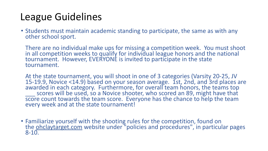### League Guidelines

• Students must maintain academic standing to participate, the same as with any other school sport.

There are no individual make ups for missing a competition week. You must shoot in all competition weeks to qualify for individual league honors and the national tournament. However, EVERYONE is invited to participate in the state tournament.

At the state tournament, you will shoot in one of 3 categories (Varsity 20-25, JV 15-19.9, Novice <14.9) based on your season average. 1st, 2nd, and 3rd places are awarded in each category. Furthermore, for overall team honors, the teams top scores will be used, so a Novice shooter, who scored an 89, might have that score count towards the team score. Everyone has the chance to help the team every week and at the state tournament!

• Familiarize yourself with the shooting rules for the competition, found on the **ohclaytarget.com** website under "policies and procedures", in particular pages  $8 - 10$ .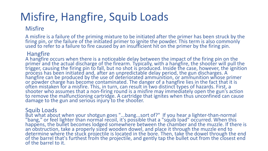# Misfire, Hangfire, Squib Loads

#### **Misfire**

A misfire is a failure of the priming mixture to be initiated after the primer has been struck by the firing pin, or the failure of the initiated primer to ignite the powder. This term is also commonly used to refer to a failure to fire caused by an insufficient hit on the primer by the firing pin.

#### Hangfire

A hangfire occurs when there is a noticeable delay between the impact of the firing pin on the primer and the actual discharge of the firearm. Typically, with a hangfire, the shooter will pull the trigger, causing the firing pin to fall, but no shot is produced. Inside the case, however, the ignition process has been initiated and, after an unpredictable delay period, the gun discharges. A hangfire can be produced by the use of deteriorated ammunition, or ammunition whose primer or powder charge has become contaminated. The danger of a hangfire lies in the fact that it is often mistaken for a misfire. This, in turn, can result in two distinct types of hazards. First, a shooter who assumes that a non-firing round is a misfire may immediately open the gun's action to remove the malfunctioning cartridge. A cartridge that ignites when thus unconfined can cause damage to the gun and serious injury to the shooter.

#### Squib Loads

But what about when your shotgun goes "...bang...sort of?" If you hear a lighter-than-normal "bang," or feel lighter than normal recoil, it's possible that a "squib load" occurred. When this happens, the bullet becomes lodged somewhere between the chamber and the muzzle. If there is an obstruction, take a properly sized wooden dowel, and place it through the muzzle end to determine where the stuck projectile is located in the bore. Then, take the dowel through the end of the barrel that's furthest from the projectile, and gently tap the bullet out from the closest end of the barrel to it.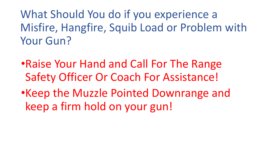What Should You do if you experience a Misfire, Hangfire, Squib Load or Problem with Your Gun?

- •Raise Your Hand and Call For The Range Safety Officer Or Coach For Assistance!
- •Keep the Muzzle Pointed Downrange and keep a firm hold on your gun!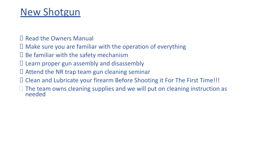#### New Shotgun

- Read the Owners Manual
- $\Box$  Make sure you are familiar with the operation of everything
- $\square$  Be familiar with the safety mechanism
- $\Box$  Learn proper gun assembly and disassembly
- $\Box$  Attend the NR trap team gun cleaning seminar
- Clean and Lubricate your firearm Before Shooting it For The First Time!!!
- $\Box$  The team owns cleaning supplies and we will put on cleaning instruction as needed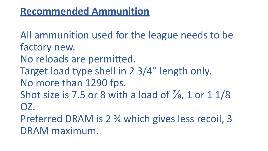#### **Recommended Ammunition**

All ammunition used for the league needs to be factory new. No reloads are permitted. Target load type shell in 2 3/4" length only. No more than 1290 fps. Shot size is 7.5 or 8 with a load of  $\frac{7}{8}$ , 1 or 1 1/8 OZ. Preferred DRAM is 2 ¾ which gives less recoil, 3

DRAM maximum.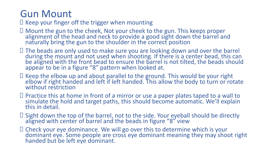#### Gun Mount

 $\Box$  Keep your finger off the trigger when mounting

- Mount the gun to the cheek, Not your cheek to the gun. This keeps proper alignment of the head and neck to provide a good sight down the barrel and naturally bring the gun to the shoulder in the correct position
- □ The beads are only used to make sure you are looking down and over the barrel during the mount and not used when shooting. If there is a center bead, this can be aligned with the front bead to ensure the barrel is not tilted, the beads should appear to be in a figure "8" pattern when looked at.
- $\Box$  Keep the elbow up and about parallel to the ground. This would be your right elbow if right handed and left if left handed. This allow the body to turn or rotate without restriction
- □ Practice this at home in front of a mirror or use a paper plates taped to a wall to simulate the hold and target paths, this should become automatic. We'll explain this in detail.
- □ Sight down the top of the barrel, not to the side. Your eyeball should be directly aligned with center of barrel and the beads in figure "8" view
- $\Box$  Check your eye dominance. We will go over this to determine which is your dominant eye. Some people are cross eye dominant meaning they may shoot right handed but be left eye dominant.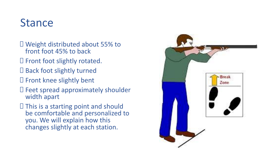## Stance

- Weight distributed about 55% to front foot 45% to back
- $\square$  Front foot slightly rotated.
- □ Back foot slightly turned
- □ Front knee slightly bent
- $\square$  Feet spread approximately shoulder width apart
- $\Box$  This is a starting point and should be comfortable and personalized to you. We will explain how this changes slightly at each station.

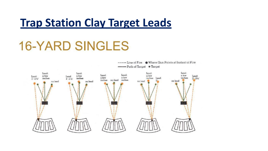## **Trap Station Clay Target Leads**

# **16-YARD SINGLES**

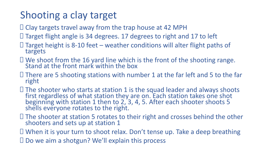### Shooting a clay target

- $\Box$  Clay targets travel away from the trap house at 42 MPH
- $\Box$  Target flight angle is 34 degrees. 17 degrees to right and 17 to left
- $\Box$  Target height is 8-10 feet weather conditions will alter flight paths of targets
- $\Box$  We shoot from the 16 yard line which is the front of the shooting range. Stand at the front mark within the box
- $\Box$  There are 5 shooting stations with number 1 at the far left and 5 to the far right
- $\Box$  The shooter who starts at station 1 is the squad leader and always shoots first regardless of what station they are on. Each station takes one shot beginning with station 1 then to 2, 3, 4, 5. After each shooter shoots 5 shells everyone rotates to the right.
- $\Box$  The shooter at station 5 rotates to their right and crosses behind the other shooters and sets up at station 1
- When it is your turn to shoot relax. Don't tense up. Take a deep breathing
- $\Box$  Do we aim a shotgun? We'll explain this process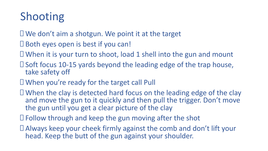## Shooting

- $\Box$  We don't aim a shotgun. We point it at the target
- $\square$  Both eyes open is best if you can!
- $\Box$  When it is your turn to shoot, load 1 shell into the gun and mount
- $\square$  Soft focus 10-15 yards beyond the leading edge of the trap house, take safety off
- When you're ready for the target call Pull
- $\Box$  When the clay is detected hard focus on the leading edge of the clay and move the gun to it quickly and then pull the trigger. Don't move the gun until you get a clear picture of the clay
- $\Box$  Follow through and keep the gun moving after the shot
- Always keep your cheek firmly against the comb and don't lift your head. Keep the butt of the gun against your shoulder.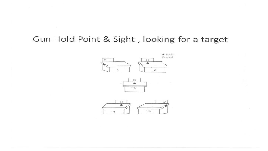#### Gun Hold Point & Sight, looking for a target